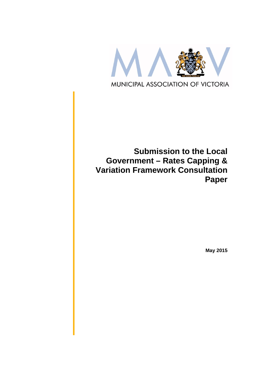

# **Submission to the Local Government – Rates Capping & Variation Framework Consultation Paper**

**May 2015**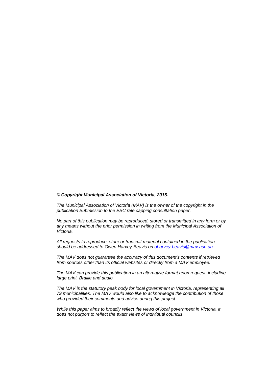#### *© Copyright Municipal Association of Victoria, 2015.*

*The Municipal Association of Victoria (MAV) is the owner of the copyright in the publication Submission to the ESC rate capping consultation paper.* 

*No part of this publication may be reproduced, stored or transmitted in any form or by any means without the prior permission in writing from the Municipal Association of Victoria.* 

*All requests to reproduce, store or transmit material contained in the publication should be addressed to Owen Harvey-Beavis on oharvey-beavis@mav.asn.au.* 

*The MAV does not guarantee the accuracy of this document's contents if retrieved from sources other than its official websites or directly from a MAV employee.*

*The MAV can provide this publication in an alternative format upon request, including large print, Braille and audio.* 

*The MAV is the statutory peak body for local government in Victoria, representing all 79 municipalities. The MAV would also like to acknowledge the contribution of those who provided their comments and advice during this project.* 

*While this paper aims to broadly reflect the views of local government in Victoria, it does not purport to reflect the exact views of individual councils.*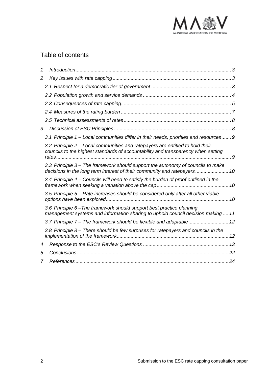

# Table of contents

| 1              |                                                                                                                                                                    |  |
|----------------|--------------------------------------------------------------------------------------------------------------------------------------------------------------------|--|
| $\overline{2}$ |                                                                                                                                                                    |  |
|                |                                                                                                                                                                    |  |
|                |                                                                                                                                                                    |  |
|                |                                                                                                                                                                    |  |
|                |                                                                                                                                                                    |  |
|                |                                                                                                                                                                    |  |
| 3              |                                                                                                                                                                    |  |
|                | 3.1 Principle 1 – Local communities differ in their needs, priorities and resources 9                                                                              |  |
|                | 3.2 Principle 2 – Local communities and ratepayers are entitled to hold their<br>councils to the highest standards of accountability and transparency when setting |  |
|                | 3.3 Principle 3 – The framework should support the autonomy of councils to make                                                                                    |  |
|                | 3.4 Principle 4 – Councils will need to satisfy the burden of proof outlined in the                                                                                |  |
|                | 3.5 Principle 5 – Rate increases should be considered only after all other viable                                                                                  |  |
|                | 3.6 Principle 6-The framework should support best practice planning,<br>management systems and information sharing to uphold council decision making  11           |  |
|                | 3.7 Principle 7 - The framework should be flexible and adaptable 12                                                                                                |  |
|                | 3.8 Principle 8 – There should be few surprises for ratepayers and councils in the                                                                                 |  |
| 4              |                                                                                                                                                                    |  |
| 5              |                                                                                                                                                                    |  |
|                |                                                                                                                                                                    |  |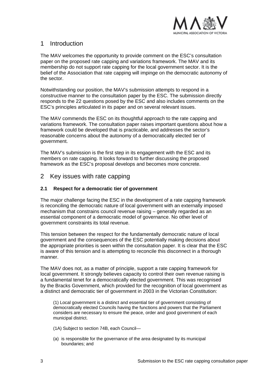

# 1 Introduction

The MAV welcomes the opportunity to provide comment on the ESC's consultation paper on the proposed rate capping and variations framework. The MAV and its membership do not support rate capping for the local government sector. It is the belief of the Association that rate capping will impinge on the democratic autonomy of the sector.

Notwithstanding our position, the MAV's submission attempts to respond in a constructive manner to the consultation paper by the ESC. The submission directly responds to the 22 questions posed by the ESC and also includes comments on the ESC's principles articulated in its paper and on several relevant issues.

The MAV commends the ESC on its thoughtful approach to the rate capping and variations framework. The consultation paper raises important questions about how a framework could be developed that is practicable, and addresses the sector's reasonable concerns about the autonomy of a democratically elected tier of government.

The MAV's submission is the first step in its engagement with the ESC and its members on rate capping. It looks forward to further discussing the proposed framework as the ESC's proposal develops and becomes more concrete.

# 2 Key issues with rate capping

# **2.1 Respect for a democratic tier of government**

The major challenge facing the ESC in the development of a rate capping framework is reconciling the democratic nature of local government with an externally imposed mechanism that constrains council revenue raising – generally regarded as an essential component of a democratic model of governance. No other level of government constraints its total revenue.

This tension between the respect for the fundamentally democratic nature of local government and the consequences of the ESC potentially making decisions about the appropriate priorities is seen within the consultation paper. It is clear that the ESC is aware of this tension and is attempting to reconcile this disconnect in a thorough manner.

The MAV does not, as a matter of principle, support a rate capping framework for local government. It strongly believes capacity to control their own revenue raising is a fundamental tenet for a democratically elected government. This was recognised by the Bracks Government, which provided for the recognition of local government as a distinct and democratic tier of government in 2003 in the Victorian Constitution:

(1) Local government is a distinct and essential tier of government consisting of democratically elected Councils having the functions and powers that the Parliament considers are necessary to ensure the peace, order and good government of each municipal district.

- (1A) Subject to section 74B, each Council—
- (a) is responsible for the governance of the area designated by its municipal boundaries; and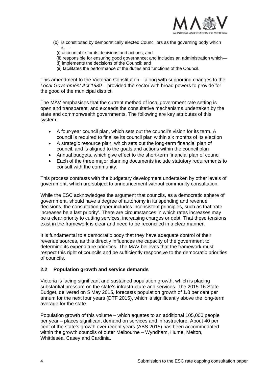

- (b) is constituted by democratically elected Councillors as the governing body which is—
	- (i) accountable for its decisions and actions; and
	- (ii) responsible for ensuring good governance; and includes an administration which—
- (i) implements the decisions of the Council; and
- (ii) facilitates the performance of the duties and functions of the Council.

This amendment to the Victorian Constitution – along with supporting changes to the *Local Government Act 1989* – provided the sector with broad powers to provide for the good of the municipal district.

The MAV emphasises that the current method of local government rate setting is open and transparent, and exceeds the consultative mechanisms undertaken by the state and commonwealth governments. The following are key attributes of this system:

- A four-year council plan, which sets out the council's vision for its term. A council is required to finalise its council plan within six months of its election
- A strategic resource plan, which sets out the long-term financial plan of council, and is aligned to the goals and actions within the council plan
- Annual budgets, which give effect to the short-term financial plan of council
- Each of the three major planning documents include statutory requirements to consult with the community.

This process contrasts with the budgetary development undertaken by other levels of government, which are subject to announcement without community consultation.

While the ESC acknowledges the argument that councils, as a democratic sphere of government, should have a degree of autonomy in its spending and revenue decisions, the consultation paper includes inconsistent principles, such as that 'rate increases be a last priority'. There are circumstances in which rates increases may be a clear priority to cutting services, increasing charges or debt. That these tensions exist in the framework is clear and need to be reconciled in a clear manner.

It is fundamental to a democratic body that they have adequate control of their revenue sources, as this directly influences the capacity of the government to determine its expenditure priorities. The MAV believes that the framework must respect this right of councils and be sufficiently responsive to the democratic priorities of councils.

# **2.2 Population growth and service demands**

Victoria is facing significant and sustained population growth, which is placing substantial pressure on the state's infrastructure and services. The 2015-16 State Budget, delivered on 5 May 2015, forecasts population growth of 1.8 per cent per annum for the next four years (DTF 2015), which is significantly above the long-term average for the state.

Population growth of this volume – which equates to an additional 105,000 people per year – places significant demand on services and infrastructure. About 40 per cent of the state's growth over recent years (ABS 2015) has been accommodated within the growth councils of outer Melbourne – Wyndham, Hume, Melton, Whittlesea, Casey and Cardinia.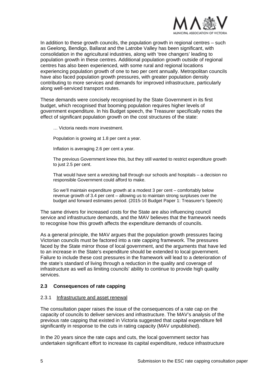

In addition to these growth councils, the population growth in regional centres – such as Geelong, Bendigo, Ballarat and the Latrobe Valley has been significant, with consolidation in the agricultural industries, along with 'tree changers' leading to population growth in these centres. Additional population growth outside of regional centres has also been experienced, with some rural and regional locations experiencing population growth of one to two per cent annually. Metropolitan councils have also faced population growth pressures, with greater population density contributing to more services and demands for improved infrastructure, particularly along well-serviced transport routes.

These demands were concisely recognised by the State Government in its first budget, which recognised that booming population requires higher levels of government expenditure. In his Budget speech, the Treasurer specifically notes the effect of significant population growth on the cost structures of the state:

… Victoria needs more investment.

Population is growing at 1.8 per cent a year.

Inflation is averaging 2.6 per cent a year.

The previous Government knew this, but they still wanted to restrict expenditure growth to just 2.5 per cent.

That would have sent a wrecking ball through our schools and hospitals – a decision no responsible Government could afford to make.

So we'll maintain expenditure growth at a modest 3 per cent – comfortably below revenue growth of 3.4 per cent – allowing us to maintain strong surpluses over the budget and forward estimates period. (2015-16 Budget Paper 1: Treasurer's Speech)

The same drivers for increased costs for the State are also influencing council service and infrastructure demands, and the MAV believes that the framework needs to recognise how this growth affects the expenditure demands of councils.

As a general principle, the MAV argues that the population growth pressures facing Victorian councils must be factored into a rate capping framework. The pressures faced by the State mirror those of local government, and the arguments that have led to an increase in the State's expenditure should be extended to local government. Failure to include these cost pressures in the framework will lead to a deterioration of the state's standard of living through a reduction in the quality and coverage of infrastructure as well as limiting councils' ability to continue to provide high quality services.

#### **2.3 Consequences of rate capping**

#### 2.3.1 Infrastructure and asset renewal

The consultation paper raises the issue of the consequences of a rate cap on the capacity of councils to deliver services and infrastructure. The MAV's analysis of the previous rate capping that existed in Victoria suggested that capital expenditure fell significantly in response to the cuts in rating capacity (MAV unpublished).

In the 20 years since the rate caps and cuts, the local government sector has undertaken significant effort to increase its capital expenditure, reduce infrastructure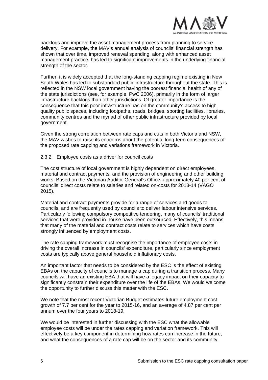

backlogs and improve the asset management process from planning to service delivery. For example, the MAV's annual analysis of councils' financial strength has shown that over time, improved renewal spending, along with enhanced asset management practice, has led to significant improvements in the underlying financial strength of the sector.

Further, it is widely accepted that the long-standing capping regime existing in New South Wales has led to substandard public infrastructure throughout the state. This is reflected in the NSW local government having the poorest financial health of any of the state jurisdictions (see, for example, PwC 2006), primarily in the form of larger infrastructure backlogs than other jurisdictions. Of greater importance is the consequence that this poor infrastructure has on the community's access to high quality public spaces, including footpaths, roads, bridges, sporting facilities, libraries, community centres and the myriad of other public infrastructure provided by local government.

Given the strong correlation between rate caps and cuts in both Victoria and NSW, the MAV wishes to raise its concerns about the potential long-term consequences of the proposed rate capping and variations framework in Victoria.

#### 2.3.2 Employee costs as a driver for council costs

The cost structure of local government is highly dependent on direct employees, material and contract payments, and the provision of engineering and other building works. Based on the Victorian Auditor-General's Office, approximately 40 per cent of councils' direct costs relate to salaries and related on-costs for 2013-14 (VAGO 2015).

Material and contract payments provide for a range of services and goods to councils, and are frequently used by councils to deliver labour intensive services. Particularly following compulsory competitive tendering, many of councils' traditional services that were provided in-house have been outsourced. Effectively, this means that many of the material and contract costs relate to services which have costs strongly influenced by employment costs.

The rate capping framework must recognise the importance of employee costs in driving the overall increase in councils' expenditure, particularly since employment costs are typically above general household inflationary costs.

An important factor that needs to be considered by the ESC is the effect of existing EBAs on the capacity of councils to manage a cap during a transition process. Many councils will have an existing EBA that will have a legacy impact on their capacity to significantly constrain their expenditure over the life of the EBAs. We would welcome the opportunity to further discuss this matter with the ESC.

We note that the most recent Victorian Budget estimates future employment cost growth of 7.7 per cent for the year to 2015-16, and an average of 4.87 per cent per annum over the four years to 2018-19.

We would be interested in further discussing with the ESC what the allowable employee costs will be under the rates capping and variation framework. This will effectively be a key component in determining how rates can increase in the future, and what the consequences of a rate cap will be on the sector and its community.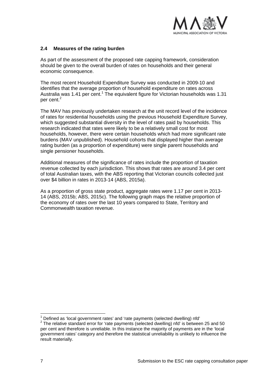

# **2.4 Measures of the rating burden**

As part of the assessment of the proposed rate capping framework, consideration should be given to the overall burden of rates on households and their general economic consequence.

The most recent Household Expenditure Survey was conducted in 2009-10 and identifies that the average proportion of household expenditure on rates across Australia was 1.41 per cent.<sup>1</sup> The equivalent figure for Victorian households was 1.31 per cent.<sup>2</sup>

The MAV has previously undertaken research at the unit record level of the incidence of rates for residential households using the previous Household Expenditure Survey, which suggested substantial diversity in the level of rates paid by households. This research indicated that rates were likely to be a relatively small cost for most households, however, there were certain households which had more significant rate burdens (MAV unpublished). Household cohorts that displayed higher than average rating burden (as a proportion of expenditure) were single parent households and single pensioner households.

Additional measures of the significance of rates include the proportion of taxation revenue collected by each jurisdiction. This shows that rates are around 3.4 per cent of total Australian taxes, with the ABS reporting that Victorian councils collected just over \$4 billion in rates in 2013-14 (ABS, 2015a).

As a proportion of gross state product, aggregate rates were 1.17 per cent in 2013- 14 (ABS, 2015b; ABS, 2015c). The following graph maps the relative proportion of the economy of rates over the last 10 years compared to State, Territory and Commonwealth taxation revenue.

<sup>1</sup> Defined as 'local government rates' and 'rate payments (selected dwelling) nfd'

 $2$  The relative standard error for 'rate payments (selected dwelling) nfd' is between 25 and 50 per cent and therefore is unreliable. In this instance the majority of payments are in the 'local government rates' category and therefore the statistical unreliability is unlikely to influence the result materially.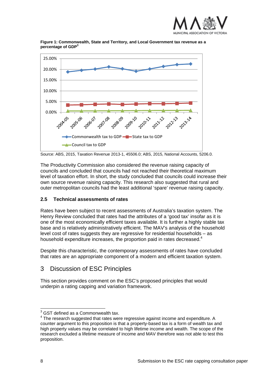



**Figure 1: Commonwealth, State and Territory, and Local Government tax revenue as a percentage of GDP3**

The Productivity Commission also considered the revenue raising capacity of councils and concluded that councils had not reached their theoretical maximum level of taxation effort. In short, the study concluded that councils could increase their own source revenue raising capacity. This research also suggested that rural and outer metropolitan councils had the least additional 'spare' revenue raising capacity.

# **2.5 Technical assessments of rates**

Rates have been subject to recent assessments of Australia's taxation system. The Henry Review concluded that rates had the attributes of a 'good tax' insofar as it is one of the most economically efficient taxes available. It is further a highly stable tax base and is relatively administratively efficient. The MAV's analysis of the household level cost of rates suggests they are regressive for residential households – as household expenditure increases, the proportion paid in rates decreased.<sup>4</sup>

Despite this characteristic, the contemporary assessments of rates have concluded that rates are an appropriate component of a modern and efficient taxation system.

# 3 Discussion of ESC Principles

This section provides comment on the ESC's proposed principles that would underpin a rating capping and variation framework.

Source: ABS, 2015, Taxation Revenue 2013-1, 45506.0; ABS, 2015, National Accounts, 5206.0.

 3 GST defined as a Commonwealth tax.

 $4$  The research suggested that rates were regressive against income and expenditure. A counter argument to this proposition is that a property-based tax is a form of wealth tax and high property values may be correlated to high lifetime income and wealth. The scope of the research excluded a lifetime measure of income and MAV therefore was not able to test this proposition.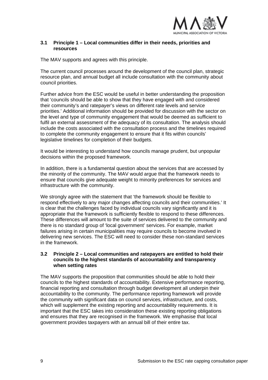

## **3.1 Principle 1 – Local communities differ in their needs, priorities and resources**

The MAV supports and agrees with this principle.

The current council processes around the development of the council plan, strategic resource plan, and annual budget all include consultation with the community about council priorities.

Further advice from the ESC would be useful in better understanding the proposition that 'councils should be able to show that they have engaged with and considered their community's and ratepayer's views on different rate levels and service priorities.' Additional information should be provided for discussion with the sector on the level and type of community engagement that would be deemed as sufficient to fulfil an external assessment of the adequacy of its consultation. The analysis should include the costs associated with the consultation process and the timelines required to complete the community engagement to ensure that it fits within councils' legislative timelines for completion of their budgets.

It would be interesting to understand how councils manage prudent, but unpopular decisions within the proposed framework.

In addition, there is a fundamental question about the services that are accessed by the minority of the community. The MAV would argue that the framework needs to ensure that councils give adequate weight to minority preferences for services and infrastructure with the community.

We strongly agree with the statement that 'the framework should be flexible to respond effectively to any major changes affecting councils and their communities.' It is clear that the challenges faced by individual councils vary significantly and it is appropriate that the framework is sufficiently flexible to respond to these differences. These differences will amount to the suite of services delivered to the community and there is no standard group of 'local government' services. For example, market failures arising in certain municipalities may require councils to become involved in delivering new services. The ESC will need to consider these non-standard services in the framework.

#### **3.2 Principle 2 – Local communities and ratepayers are entitled to hold their councils to the highest standards of accountability and transparency when setting rates**

The MAV supports the proposition that communities should be able to hold their councils to the highest standards of accountability. Extensive performance reporting, financial reporting and consultation through budget development all underpin their accountability to the community. The performance reporting framework will provide the community with significant data on council services, infrastructure, and costs, which will supplement the existing reporting and accountability requirements. It is important that the ESC takes into consideration these existing reporting obligations and ensures that they are recognised in the framework. We emphasise that local government provides taxpayers with an annual bill of their entire tax.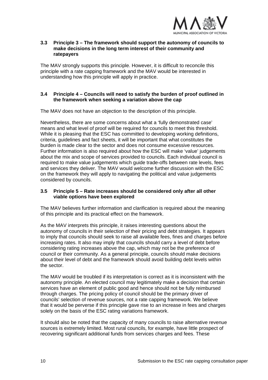

## **3.3 Principle 3 – The framework should support the autonomy of councils to make decisions in the long term interest of their community and ratepayers**

The MAV strongly supports this principle. However, it is difficult to reconcile this principle with a rate capping framework and the MAV would be interested in understanding how this principle will apply in practice.

# **3.4 Principle 4 – Councils will need to satisfy the burden of proof outlined in the framework when seeking a variation above the cap**

The MAV does not have an objection to the description of this principle.

Nevertheless, there are some concerns about what a 'fully demonstrated case' means and what level of proof will be required for councils to meet this threshold. While it is pleasing that the ESC has committed to developing working definitions, criteria, guidelines and fact sheets, it will be important that what constitutes the burden is made clear to the sector and does not consume excessive resources. Further information is also required about how the ESC will make 'value' judgements about the mix and scope of services provided to councils. Each individual council is required to make value judgements which guide trade-offs between rate levels, fees and services they deliver. The MAV would welcome further discussion with the ESC on the framework they will apply to navigating the political and value judgements considered by councils.

# **3.5 Principle 5 – Rate increases should be considered only after all other viable options have been explored**

The MAV believes further information and clarification is required about the meaning of this principle and its practical effect on the framework.

As the MAV interprets this principle, it raises interesting questions about the autonomy of councils in their selection of their pricing and debt strategies. It appears to imply that councils should seek to raise all available fees, fines and charges before increasing rates. It also may imply that councils should carry a level of debt before considering rating increases above the cap, which may not be the preference of council or their community. As a general principle, councils should make decisions about their level of debt and the framework should avoid building debt levels within the sector.

The MAV would be troubled if its interpretation is correct as it is inconsistent with the autonomy principle. An elected council may legitimately make a decision that certain services have an element of public good and hence should not be fully reimbursed through charges. The pricing policy of council should be the primary driver of councils' selection of revenue sources, not a rate capping framework. We believe that it would be perverse if this principle gave rise to an increase in fees and charges solely on the basis of the ESC rating variations framework.

It should also be noted that the capacity of many councils to raise alternative revenue sources is extremely limited. Most rural councils, for example, have little prospect of recovering significant additional funds from services charges and fees. These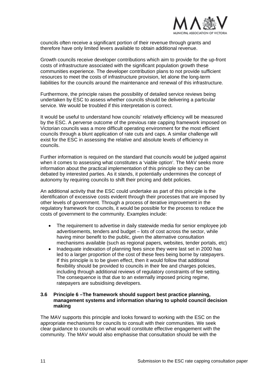

councils often receive a significant portion of their revenue through grants and therefore have only limited levers available to obtain additional revenue.

Growth councils receive developer contributions which aim to provide for the up-front costs of infrastructure associated with the significant population growth these communities experience. The developer contribution plans to not provide sufficient resources to meet the costs of infrastructure provision, let alone the long-term liabilities for the councils around the maintenance and renewal of this infrastructure.

Furthermore, the principle raises the possibility of detailed service reviews being undertaken by ESC to assess whether councils should be delivering a particular service. We would be troubled if this interpretation is correct.

It would be useful to understand how councils' relatively efficiency will be measured by the ESC. A perverse outcome of the previous rate capping framework imposed on Victorian councils was a more difficult operating environment for the most efficient councils through a blunt application of rate cuts and caps. A similar challenge will exist for the ESC in assessing the relative and absolute levels of efficiency in councils.

Further information is required on the standard that councils would be judged against when it comes to assessing what constitutes a 'viable option'. The MAV seeks more information about the practical implementation of this principle so they can be debated by interested parties. As it stands, it potentially undermines the concept of autonomy by requiring councils to shift their pricing and debt policies.

An additional activity that the ESC could undertake as part of this principle is the identification of excessive costs evident through their processes that are imposed by other levels of government. Through a process of iterative improvement in the regulatory framework for councils, it would be possible for the process to reduce the costs of government to the community. Examples include:

- The requirement to advertise in daily statewide media for senior employee job advertisements, tenders and budget – lots of cost across the sector, while having minor benefit to the public, given the alternative consultation mechanisms available (such as regional papers, websites, tender portals, etc)
- Inadequate indexation of planning fees since they were last set in 2000 has led to a larger proportion of the cost of these fees being borne by ratepayers. If this principle is to be given effect, then it would follow that additional flexibility should be provided to councils in their fee and charges policies, including through additional reviews of regulatory constraints of fee setting. The consequence is that due to an externally imposed pricing regime, ratepayers are subsidising developers.

#### **3.6 Principle 6 –The framework should support best practice planning, management systems and information sharing to uphold council decision making**

The MAV supports this principle and looks forward to working with the ESC on the appropriate mechanisms for councils to consult with their communities. We seek clear guidance to councils on what would constitute effective engagement with the community. The MAV would also emphasise that consultation should be with the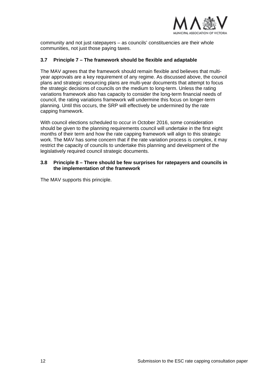

community and not just ratepayers – as councils' constituencies are their whole communities, not just those paying taxes.

## **3.7 Principle 7 – The framework should be flexible and adaptable**

The MAV agrees that the framework should remain flexible and believes that multiyear approvals are a key requirement of any regime. As discussed above, the council plans and strategic resourcing plans are multi-year documents that attempt to focus the strategic decisions of councils on the medium to long-term. Unless the rating variations framework also has capacity to consider the long-term financial needs of council, the rating variations framework will undermine this focus on longer-term planning. Until this occurs, the SRP will effectively be undermined by the rate capping framework.

With council elections scheduled to occur in October 2016, some consideration should be given to the planning requirements council will undertake in the first eight months of their term and how the rate capping framework will align to this strategic work. The MAV has some concern that if the rate variation process is complex, it may restrict the capacity of councils to undertake this planning and development of the legislatively required council strategic documents.

#### **3.8 Principle 8 – There should be few surprises for ratepayers and councils in the implementation of the framework**

The MAV supports this principle.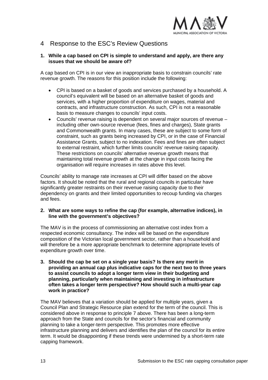

# 4 Response to the ESC's Review Questions

# **1. While a cap based on CPI is simple to understand and apply, are there any issues that we should be aware of?**

A cap based on CPI is in our view an inappropriate basis to constrain councils' rate revenue growth. The reasons for this position include the following:

- CPI is based on a basket of goods and services purchased by a household. A council's equivalent will be based on an alternative basket of goods and services, with a higher proportion of expenditure on wages, material and contracts, and infrastructure construction. As such, CPI is not a reasonable basis to measure changes to councils' input costs.
- Councils' revenue raising is dependent on several major sources of revenue including other own-source revenue (fees, fines and charges), State grants and Commonwealth grants. In many cases, these are subject to some form of constraint, such as grants being increased by CPI, or in the case of Financial Assistance Grants, subject to no indexation. Fees and fines are often subject to external restraint, which further limits councils' revenue raising capacity. These restrictions on councils' alternative revenue growth means that maintaining total revenue growth at the change in input costs facing the organisation will require increases in rates above this level.

Councils' ability to manage rate increases at CPI will differ based on the above factors. It should be noted that the rural and regional councils in particular have significantly greater restraints on their revenue raising capacity due to their dependency on grants and their limited opportunities to recoup funding via charges and fees.

#### **2. What are some ways to refine the cap (for example, alternative indices), in line with the government's objectives?**

The MAV is in the process of commissioning an alternative cost index from a respected economic consultancy. The index will be based on the expenditure composition of the Victorian local government sector, rather than a household and will therefore be a more appropriate benchmark to determine appropriate levels of expenditure growth over time.

**3. Should the cap be set on a single year basis? Is there any merit in providing an annual cap plus indicative caps for the next two to three years to assist councils to adopt a longer term view in their budgeting and planning, particularly when maintaining and investing in infrastructure often takes a longer term perspective? How should such a multi-year cap work in practice?** 

The MAV believes that a variation should be applied for multiple years, given a Council Plan and Strategic Resource plan extend for the term of the council. This is considered above in response to principle 7 above. There has been a long-term approach from the State and councils for the sector's financial and community planning to take a longer-term perspective. This promotes more effective infrastructure planning and delivers and identifies the plan of the council for its entire term. It would be disappointing if these trends were undermined by a short-term rate capping framework.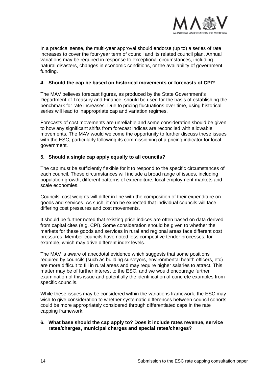

In a practical sense, the multi-year approval should endorse (up to) a series of rate increases to cover the four-year term of council and its related council plan. Annual variations may be required in response to exceptional circumstances, including natural disasters, changes in economic conditions, or the availability of government funding.

# **4. Should the cap be based on historical movements or forecasts of CPI?**

The MAV believes forecast figures, as produced by the State Government's Department of Treasury and Finance, should be used for the basis of establishing the benchmark for rate increases. Due to pricing fluctuations over time, using historical series will lead to inappropriate cap and variation regimes.

Forecasts of cost movements are unreliable and some consideration should be given to how any significant shifts from forecast indices are reconciled with allowable movements. The MAV would welcome the opportunity to further discuss these issues with the ESC, particularly following its commissioning of a pricing indicator for local government.

# **5. Should a single cap apply equally to all councils?**

The cap must be sufficiently flexible for it to respond to the specific circumstances of each council. These circumstances will include a broad range of issues, including population growth, different patterns of expenditure, local employment markets and scale economies.

Councils' cost weights will differ in line with the composition of their expenditure on goods and services. As such, it can be expected that individual councils will face differing cost pressures and cost movements.

It should be further noted that existing price indices are often based on data derived from capital cites (e.g. CPI). Some consideration should be given to whether the markets for these goods and services in rural and regional areas face different cost pressures. Member councils have noted less competitive tender processes, for example, which may drive different index levels.

The MAV is aware of anecdotal evidence which suggests that some positions required by councils (such as building surveyors, environmental health officers, etc) are more difficult to fill in rural areas and may require higher salaries to attract. This matter may be of further interest to the ESC, and we would encourage further examination of this issue and potentially the identification of concrete examples from specific councils.

While these issues may be considered within the variations framework, the ESC may wish to give consideration to whether systematic differences between council cohorts could be more appropriately considered through differentiated caps in the rate capping framework.

# **6. What base should the cap apply to? Does it include rates revenue, service rates/charges, municipal charges and special rates/charges?**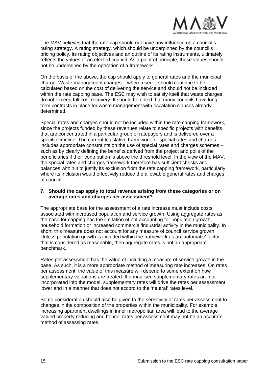

The MAV believes that the rate cap should not have any influence on a council's rating strategy. A rating strategy, which should be underpinned by the council's pricing policy, its rating objectives and an outline of its rating instruments, ultimately reflects the values of an elected council. As a point of principle, these values should not be undermined by the operation of a framework.

On the basis of the above, the cap should apply to general rates and the municipal charge. Waste management charges – where used – should continue to be calculated based on the cost of delivering the service and should not be included within the rate capping base. The ESC may wish to satisfy itself that waste charges do not exceed full cost recovery. It should be noted that many councils have longterm contracts in place for waste management with escalation clauses already determined.

Special rates and charges should not be included within the rate capping framework, since the projects funded by these revenues relate to specific projects with benefits that are concentrated in a particular group of ratepayers and is delivered over a specific timeline. The current legislative framework for special rates and charges includes appropriate constraints on the use of special rates and charges schemes – such as by clearly defining the benefits derived from the project and polls of the beneficiaries if their contribution is above the threshold level. In the view of the MAV, the special rates and charges framework therefore has sufficient checks and balances within it to justify its exclusion from the rate capping framework, particularly where its inclusion would effectively reduce the allowable general rates and charges of council.

## **7. Should the cap apply to total revenue arising from these categories or on average rates and charges per assessment?**

The appropriate base for the assessment of a rate increase must include costs associated with increased population and service growth. Using aggregate rates as the base for capping has the limitation of not accounting for population growth, household formation or increased commercial/industrial activity in the municipality. In short, this measure does not account for any measure of council service growth. Unless population growth is included within the framework as an 'automatic' factor that is considered as reasonable, then aggregate rates is not an appropriate benchmark.

Rates per assessment has the value of including a measure of service growth in the base. As such, it is a more appropriate method of measuring rate increases. On rates per assessment, the value of this measure will depend to some extent on how supplementary valuations are treated. If annualised supplementary rates are not incorporated into the model, supplementary rates will drive the rates per assessment lower and in a manner that does not accord to the 'neutral' rates level.

Some consideration should also be given to the sensitivity of rates per assessment to changes in the composition of the properties within the municipality. For example, increasing apartment dwellings in inner metropolitan area will lead to the average valued property reducing and hence, rates per assessment may not be an accurate method of assessing rates.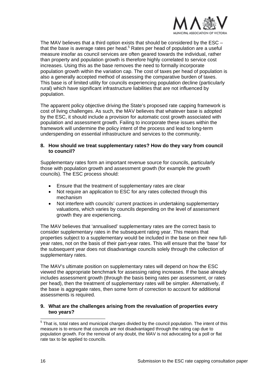

The MAV believes that a third option exists that should be considered by the ESC – that the base is average rates per head.<sup>5</sup> Rates per head of population are a useful measure insofar as council services are often geared towards the individual, rather than property and population growth is therefore highly correlated to service cost increases. Using this as the base removes the need to formally incorporate population growth within the variation cap. The cost of taxes per head of population is also a generally accepted method of assessing the comparative burden of taxes. This base is of limited utility for councils experiencing population decline (particularly rural) which have significant infrastructure liabilities that are not influenced by population.

The apparent policy objective driving the State's proposed rate capping framework is cost of living challenges. As such, the MAV believes that whatever base is adopted by the ESC, it should include a provision for automatic cost growth associated with population and assessment growth. Failing to incorporate these issues within the framework will undermine the policy intent of the process and lead to long-term underspending on essential infrastructure and services to the community.

## **8. How should we treat supplementary rates? How do they vary from council to council?**

Supplementary rates form an important revenue source for councils, particularly those with population growth and assessment growth (for example the growth councils). The ESC process should:

- Ensure that the treatment of supplementary rates are clear
- Not require an application to ESC for any rates collected through this mechanism
- Not interfere with councils' current practices in undertaking supplementary valuations, which varies by councils depending on the level of assessment growth they are experiencing.

The MAV believes that 'annualised' supplementary rates are the correct basis to consider supplementary rates in the subsequent rating year. This means that properties subject to a supplementary would be included in the base on their new fullyear rates, not on the basis of their part-year rates. This will ensure that the 'base' for the subsequent year does not disadvantage councils solely through the collection of supplementary rates.

The MAV's ultimate position on supplementary rates will depend on how the ESC viewed the appropriate benchmark for assessing rating increases. If the base already includes assessment growth (through the basis being rates per assessment, or rates per head), then the treatment of supplementary rates will be simpler. Alternatively, if the base is aggregate rates, then some form of correction to account for additional assessments is required.

# **9. What are the challenges arising from the revaluation of properties every two years?**

 5 That is, total rates and municipal charges divided by the council population. The intent of this measure is to ensure that councils are not disadvantaged through the rating cap due to population growth. For the removal of any doubt, the MAV is not advocating for a poll or flat rate tax to be applied to councils.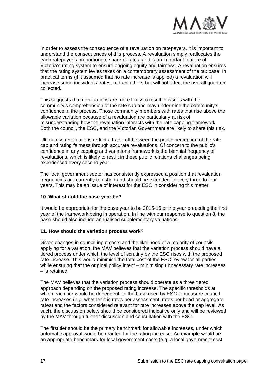

In order to assess the consequence of a revaluation on ratepayers, it is important to understand the consequences of this process. A revaluation simply reallocates the each ratepayer's proportionate share of rates, and is an important feature of Victoria's rating system to ensure ongoing equity and fairness. A revaluation ensures that the rating system levies taxes on a contemporary assessment of the tax base. In practical terms (if it assumed that no rate increase is applied) a revaluation will increase some individuals' rates, reduce others but will not affect the overall quantum collected.

This suggests that revaluations are more likely to result in issues with the community's comprehension of the rate cap and may undermine the community's confidence in the process. Those community members with rates that rise above the allowable variation because of a revaluation are particularly at risk of misunderstanding how the revaluation interacts with the rate capping framework. Both the council, the ESC, and the Victorian Government are likely to share this risk.

Ultimately, revaluations reflect a trade-off between the public perception of the rate cap and rating fairness through accurate revaluations. Of concern to the public's confidence in any capping and variations framework is the biennial frequency of revaluations, which is likely to result in these public relations challenges being experienced every second year.

The local government sector has consistently expressed a position that revaluation frequencies are currently too short and should be extended to every three to four years. This may be an issue of interest for the ESC in considering this matter.

# **10. What should the base year be?**

It would be appropriate for the base year to be 2015-16 or the year preceding the first year of the framework being in operation. In line with our response to question 8, the base should also include annualised supplementary valuations.

# **11. How should the variation process work?**

Given changes in council input costs and the likelihood of a majority of councils applying for a variation, the MAV believes that the variation process should have a tiered process under which the level of scrutiny by the ESC rises with the proposed rate increase. This would minimise the total cost of the ESC review for all parties, while ensuring that the original policy intent – minimising unnecessary rate increases – is retained.

The MAV believes that the variation process should operate as a three tiered approach depending on the proposed rating increase. The specific thresholds at which each tier would be dependent on the base used by ESC to measure council rate increases (e.g. whether it is rates per assessment, rates per head or aggregate rates) and the factors considered relevant for rate increases above the cap level. As such, the discussion below should be considered indicative only and will be reviewed by the MAV through further discussion and consultation with the ESC.

The first tier should be the primary benchmark for allowable increases, under which automatic approval would be granted for the rating increase. An example would be an appropriate benchmark for local government costs (e.g. a local government cost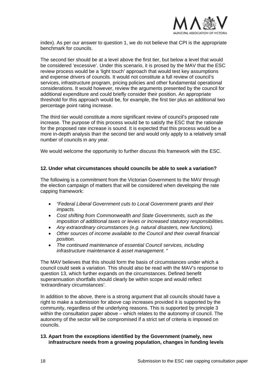

index). As per our answer to question 1, we do not believe that CPI is the appropriate benchmark for councils.

The second tier should be at a level above the first tier, but below a level that would be considered 'excessive'. Under this scenario, it is prosed by the MAV that the ESC review process would be a 'light touch' approach that would test key assumptions and expense drivers of councils. It would not constitute a full review of council's services, infrastructure program, pricing policies and other fundamental operational considerations. It would however, review the arguments presented by the council for additional expenditure and could briefly consider their position. An appropriate threshold for this approach would be, for example, the first tier plus an additional two percentage point rating increase.

The third tier would constitute a more significant review of council's proposed rate increase. The purpose of this process would be to satisfy the ESC that the rationale for the proposed rate increase is sound. It is expected that this process would be a more in-depth analysis than the second tier and would only apply to a relatively small number of councils in any year.

We would welcome the opportunity to further discuss this framework with the ESC.

#### **12. Under what circumstances should councils be able to seek a variation?**

The following is a commitment from the Victorian Government to the MAV through the election campaign of matters that will be considered when developing the rate capping framework:

- *"Federal Liberal Government cuts to Local Government grants and their impacts.*
- *Cost shifting from Commonwealth and State Governments, such as the imposition of additional taxes or levies or increased statutory responsibilities.*
- *Any extraordinary circumstances (e.g. natural disasters, new functions).*
- *Other sources of income available to the Council and their overall financial position.*
- *The continued maintenance of essential Council services, including infrastructure maintenance & asset management. "*

The MAV believes that this should form the basis of circumstances under which a council could seek a variation. This should also be read with the MAV's response to question 13, which further expands on the circumstances. Defined benefit superannuation shortfalls should clearly be within scope and would reflect 'extraordinary circumstances'.

In addition to the above, there is a strong argument that all councils should have a right to make a submission for above cap increases provided it is supported by the community, regardless of the underlying reasons. This is supported by principle 3 within the consultation paper above – which relates to the autonomy of council. The autonomy of the sector will be compromised if a strict set of criteria is imposed on councils.

#### **13. Apart from the exceptions identified by the Government (namely, new infrastructure needs from a growing population, changes in funding levels**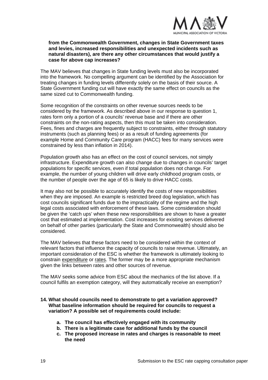

#### **from the Commonwealth Government, changes in State Government taxes and levies, increased responsibilities and unexpected incidents such as natural disasters), are there any other circumstances that would justify a case for above cap increases?**

The MAV believes that changes in State funding levels must also be incorporated into the framework. No compelling argument can be identified by the Association for treating changes in funding levels differently solely on the basis of their source. A State Government funding cut will have exactly the same effect on councils as the same sized cut to Commonwealth funding.

Some recognition of the constraints on other revenue sources needs to be considered by the framework. As described above in our response to question 1, rates form only a portion of a councils' revenue base and if there are other constraints on the non-rating aspects, then this must be taken into consideration. Fees, fines and charges are frequently subject to constraints, either through statutory instruments (such as planning fees) or as a result of funding agreements (for example Home and Community Care program (HACC) fees for many services were constrained by less than inflation in 2014).

Population growth also has an effect on the cost of council services, not simply infrastructure. Expenditure growth can also change due to changes in councils' target populations for specific services, even if total population does not change. For example, the number of young children will drive early childhood program costs, or the number of people over the age of 65 is likely to drive HACC costs.

It may also not be possible to accurately identify the costs of new responsibilities when they are imposed. An example is restricted breed dog legislation, which has cost councils significant funds due to the impracticality of the regime and the high legal costs associated with enforcement of these laws. Some consideration should be given the 'catch ups' when these new responsibilities are shown to have a greater cost that estimated at implementation. Cost increases for existing services delivered on behalf of other parties (particularly the State and Commonwealth) should also be considered.

The MAV believes that these factors need to be considered within the context of relevant factors that influence the capacity of councils to raise revenue. Ultimately, an important consideration of the ESC is whether the framework is ultimately looking to constrain expenditure or rates. The former may be a more appropriate mechanism given the links between rates and other sources of revenue.

The MAV seeks some advice from ESC about the mechanics of the list above. If a council fulfils an exemption category, will they automatically receive an exemption?

### **14. What should councils need to demonstrate to get a variation approved? What baseline information should be required for councils to request a variation? A possible set of requirements could include:**

- **a. The council has effectively engaged with its community**
- **b. There is a legitimate case for additional funds by the council**
- **c. The proposed increase in rates and charges is reasonable to meet the need**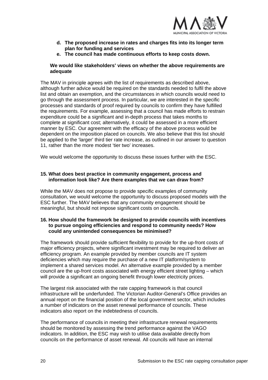

- **d. The proposed increase in rates and charges fits into its longer term plan for funding and services**
- **e. The council has made continuous efforts to keep costs down.**

#### **We would like stakeholders' views on whether the above requirements are adequate**

The MAV in principle agrees with the list of requirements as described above, although further advice would be required on the standards needed to fulfil the above list and obtain an exemption, and the circumstances in which councils would need to go through the assessment process. In particular, we are interested in the specific processes and standards of proof required by councils to confirm they have fulfilled the requirements. For example, assessing that a council has made efforts to restrain expenditure could be a significant and in-depth process that takes months to complete at significant cost; alternatively, it could be assessed in a more efficient manner by ESC. Our agreement with the efficacy of the above process would be dependent on the imposition placed on councils. We also believe that this list should be applied to the 'larger' third tier rate increase, as outlined in our answer to question 11, rather than the more modest 'tier two' increases.

We would welcome the opportunity to discuss these issues further with the ESC.

#### **15. What does best practice in community engagement, process and information look like? Are there examples that we can draw from?**

While the MAV does not propose to provide specific examples of community consultation, we would welcome the opportunity to discuss proposed models with the ESC further. The MAV believes that any community engagement should be meaningful, but should not impose significant costs on councils.

#### **16. How should the framework be designed to provide councils with incentives to pursue ongoing efficiencies and respond to community needs? How could any unintended consequences be minimised?**

The framework should provide sufficient flexibility to provide for the up-front costs of major efficiency projects, where significant investment may be required to deliver an efficiency program. An example provided by member councils are IT system deficiencies which may require the purchase of a new IT platform/system to implement a shared services model. An alternative example provided by a member council are the up-front costs associated with energy efficient street lighting – which will provide a significant an ongoing benefit through lower electricity prices.

The largest risk associated with the rate capping framework is that council infrastructure will be underfunded. The Victorian Auditor-General's Office provides an annual report on the financial position of the local government sector, which includes a number of indicators on the asset renewal performance of councils. These indicators also report on the indebtedness of councils.

The performance of councils in meeting their infrastructure renewal requirements should be monitored by assessing the trend performance against the VAGO indicators. In addition, the ESC may wish to utilise data available directly from councils on the performance of asset renewal. All councils will have an internal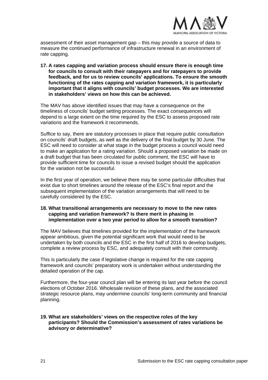

assessment of their asset management gap – this may provide a source of data to measure the continued performance of infrastructure renewal in an environment of rate capping.

**17. A rates capping and variation process should ensure there is enough time for councils to consult with their ratepayers and for ratepayers to provide feedback, and for us to review councils' applications. To ensure the smooth functioning of the rates capping and variation framework, it is particularly important that it aligns with councils' budget processes. We are interested in stakeholders' views on how this can be achieved.** 

The MAV has above identified issues that may have a consequence on the timeliness of councils' budget setting processes. The exact consequences will depend to a large extent on the time required by the ESC to assess proposed rate variations and the framework it recommends.

Suffice to say, there are statutory processes in place that require public consultation on councils' draft budgets, as well as the delivery of the final budget by 30 June. The ESC will need to consider at what stage in the budget process a council would need to make an application for a rating variation. Should a proposed variation be made on a draft budget that has been circulated for public comment, the ESC will have to provide sufficient time for councils to issue a revised budget should the application for the variation not be successful.

In the first year of operation, we believe there may be some particular difficulties that exist due to short timelines around the release of the ESC's final report and the subsequent implementation of the variation arrangements that will need to be carefully considered by the ESC.

#### **18. What transitional arrangements are necessary to move to the new rates capping and variation framework? Is there merit in phasing in implementation over a two year period to allow for a smooth transition?**

The MAV believes that timelines provided for the implementation of the framework appear ambitious, given the potential significant work that would need to be undertaken by both councils and the ESC in the first half of 2016 to develop budgets, complete a review process by ESC, and adequately consult with their community.

This is particularly the case if legislative change is required for the rate capping framework and councils' preparatory work is undertaken without understanding the detailed operation of the cap.

Furthermore, the four-year council plan will be entering its last year before the council elections of October 2016. Wholesale revision of these plans, and the associated strategic resource plans, may undermine councils' long-term community and financial planning.

## **19. What are stakeholders' views on the respective roles of the key participants? Should the Commission's assessment of rates variations be advisory or determinative?**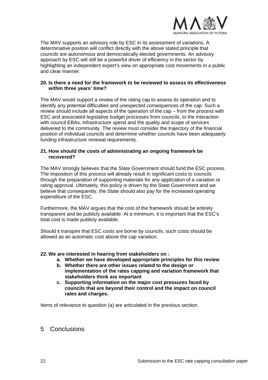

The MAV supports an advisory role by ESC in its assessment of variations. A determinative position will conflict directly with the above stated principle that councils are autonomous and democratically elected governments. An advisory approach by ESC will still be a powerful driver of efficiency in the sector by highlighting an independent expert's view on appropriate cost movements in a public and clear manner.

#### **20. Is there a need for the framework to be reviewed to assess its effectiveness within three years' time?**

The MAV would support a review of the rating cap to assess its operation and to identify any potential difficulties and unexpected consequences of the cap. Such a review should include all aspects of the operation of the cap – from the process with ESC and associated legislative budget processes from councils, to the interaction with council EBAs, infrastructure spend and the quality and scope of services delivered to the community. The review must consider the trajectory of the financial position of individual councils and determine whether councils have been adequately funding infrastructure renewal requirements.

#### **21. How should the costs of administrating an ongoing framework be recovered?**

The MAV strongly believes that the State Government should fund the ESC process. The imposition of this process will already result in significant costs to councils through the preparation of supporting materials for any application of a variation or rating approval. Ultimately, this policy is driven by the State Government and we believe that consequently, the State should also pay for the increased operating expenditure of the ESC.

Furthermore, the MAV argues that the cost of the framework should be entirely transparent and be publicly available. At a minimum, it is important that the ESC's total cost is made publicly available.

Should it transpire that ESC costs are borne by councils, such costs should be allowed as an automatic cost above the cap variation.

# **22. We are interested in hearing from stakeholders on :**

- **a. Whether we have developed appropriate principles for this review**
- **b. Whether there are other issues related to the design or implementation of the rates capping and variation framework that stakeholders think are important**
- **c. Supporting information on the major cost pressures faced by councils that are beyond their control and the impact on council rates and charges.**

Items of relevance to question (a) are articulated in the previous section.

# 5 Conclusions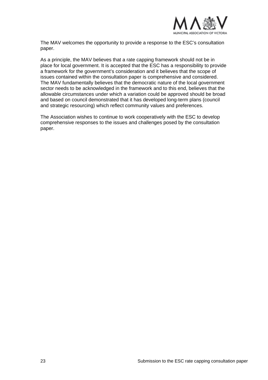

The MAV welcomes the opportunity to provide a response to the ESC's consultation paper.

As a principle, the MAV believes that a rate capping framework should not be in place for local government. It is accepted that the ESC has a responsibility to provide a framework for the government's consideration and it believes that the scope of issues contained within the consultation paper is comprehensive and considered. The MAV fundamentally believes that the democratic nature of the local government sector needs to be acknowledged in the framework and to this end, believes that the allowable circumstances under which a variation could be approved should be broad and based on council demonstrated that it has developed long-term plans (council and strategic resourcing) which reflect community values and preferences.

The Association wishes to continue to work cooperatively with the ESC to develop comprehensive responses to the issues and challenges posed by the consultation paper.